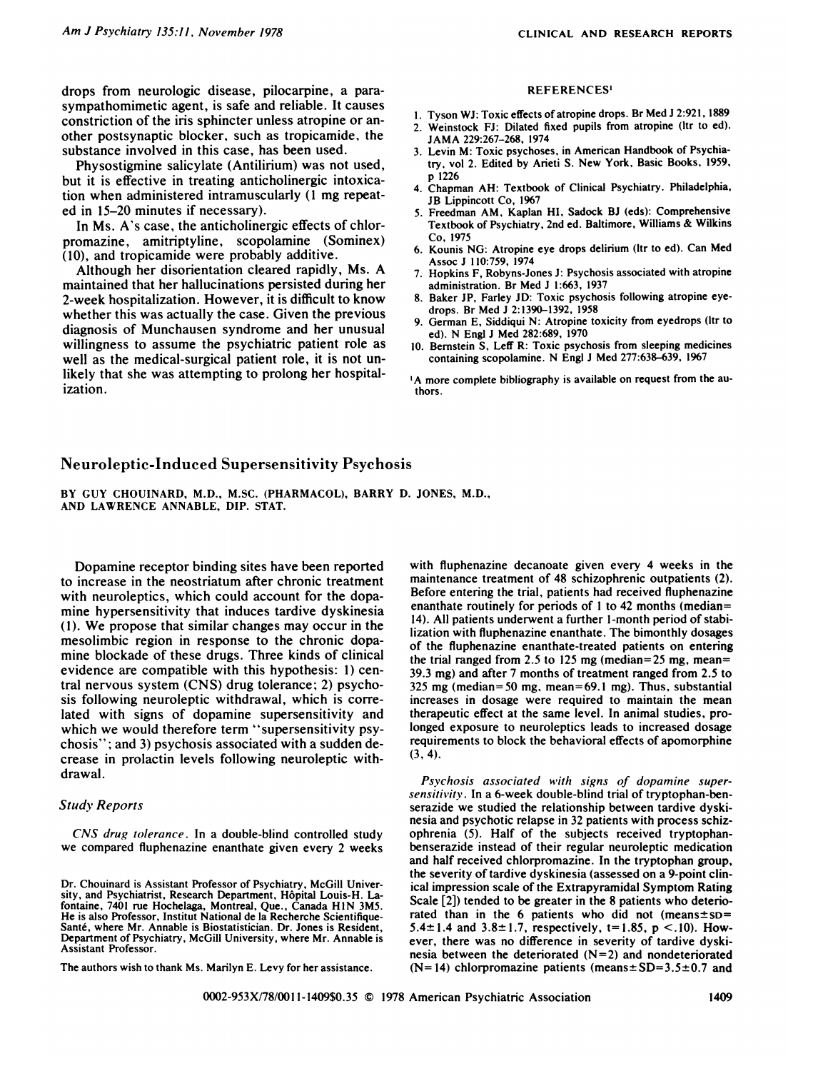drops from neurologic disease, pilocarpine, a parasympathomimetic agent, is safe and reliable. It causes constriction of the iris sphincter unless atropine or an other postsynaptic blocker, such as tropicamide, the substance involved in this case, has been used.

Physostigminc salicylate (Antilirium) was not used, but it is effective in treating anticholinergic intoxication when administered intramuscularly (1 mg repeated in 15-20 minutes if necessary).

In Ms. A's case, the anticholinergic effects of chlorpromazine, amitriptyline, scopolamine (Sominex) (10), and tropicamide were probably additive.

Although her disorientation cleared rapidly, Ms. A  $\frac{1}{7}$ maintained that hen hallucinations persisted during her 2-week hospitalization. However, it is difficult to know whether this was actually the case. Given the previous diagnosis of Munchausen syndrome and her unusual willingness to assume the psychiatric patient role as well as the medical-surgical patient role, it is not unlikely that she was attempting to prolong her hospitalization.

### **REFERENCES'**

- 1. Tyson Wi: Toxic effects ofatropine drops. Br Med J 2:921, 1889
- 2. Weinstock FJ: Dilated fixed pupils from atropine (ltr to ed). **JAMA** 229:267-268, 1974
- 3. Levin M: Toxic psychoses, in American Handbook of Psychiatry, vol 2. Edited by Arieti S. New York, Basic Books, 1959, p 1226
- 4. Chapman AH: Textbook of Clinical Psychiatry. Philadelphia, JB Lippincott Co, 1967
- *5.* Freedman AM, Kaplan HI, Sadock BJ (eds): Comprehensive Textbook of Psychiatry, 2nd ed. Baltimore, Williams & Wilkins **Co, 1975**
- 6. Kounis NG: Atropine eye drops delirium (ltr to ed). Can Med Assoc J I10:759, 1974
- Hopkins F, Robyns-Jones J: Psychosis associated with atropine administration. Br Med J 1:663, 1937
- Baker JP, Farley JD: Toxic psychosis following atropine eyedrops. Br Med J 2:1390-1392, 1958
- German E, Siddiqui N: Atropine toxicity from eyedrops (ltr to ed). N Engl J Med 282:689, 1970
- 10. Bernstein 5, Leff R: Toxic psychosis from sleeping medicines containing scopolamine. N Engl J Med 277:638-639, 1967

'A more complete bibliography is available on request from the authors.

# Neuroleptic-Induced Supersensitivity Psychosis

BY GUY CHOUINARD, M.D., M.SC. (PHARMACOL), BARRY D. JONES, M.D., AND LAWRENCE ANNABLE, DIP. STAT.

Dopamine receptor binding sites have been reported to increase in the neostriatum after chronic treatment with neuroleptics, which could account for the dopamine hypersensitivity that induces tardive dyskinesia (1). We propose that similar changes may occur in the mesolimbic region in response to the chronic dopamine blockade of these drugs. Three kinds of clinical evidence are compatible with this hypothesis: 1) central nervous system (CNS) drug tolerance; 2) psychosis following neuroleptic withdrawal, which is correlated with signs of dopamine supersensitivity and which we would therefore term "supersensitivity psychosis" ; and 3) psychosis associated with a sudden de crease in prolactin levels following neuroleptic withdrawal.

## *Study Reports*

*CNS drug tolerance.* In a double-blind controlled study we compared fluphenazine enanthate given every 2 weeks

The authors wish to thank Ms. Marilyn E. Levy for her assistance.

with fluphenazine decanoate given every 4 weeks in the maintenance treatment of 48 schizophrenic outpatients (2). Before entering the trial, patients had received fluphenazine enanthate routinely for periods of I to 42 months (median= 14). All patients underwent a further 1-month period of stabilization with fluphenazine enanthate. The bimonthly dosages of the fluphenazine enanthate-treated patients on entering the trial ranged from 2.5 to 125 mg (median=25 mg, mean= 39.3 mg) and after 7 months of treatment ranged from *2.5* to *325* mg (median= 50 mg, mean=69. I mg). Thus, substantial increases in dosage were required to maintain the mean therapeutic effect at the same level. In animal studies, prolonged exposure to neuroleptics leads to increased dosage requirements to block the behavioral effects of apomorphine (3,4).

*Psychosis associated with signs of dopamine supersensitivity* . In a 6-week double-blind trial of tryptophan-benserazide we studied the relationship between tardive dyskinesia and psychotic relapse in 32 patients with process schizophrenia *(5).* Half of the subjects received tryptophanbenserazide instead of their regular neuroleptic medication and half received chlorpromazine. In the tryptophan group, the severity of tardive dyskinesia (assessed on a 9-point clinical impression scale of the Extrapyramidal Symptom Rating Scale [2]) tended to be greater in the 8 patients who deteriorated than in the 6 patients who did not (means $\pm$ sD= 5.4 $\pm$ 1.4 and 3.8 $\pm$ 1.7, respectively, t=1.85, p <.10). However, there was no difference in severity of tardive dyskinesia between the deteriorated  $(N=2)$  and nondeteriorated  $(N= 14)$  chlorpromazine patients (means $\pm SD=3.5\pm 0.7$  and

Dr. Chouinard is Assistant Professor of Psychiatry, McGill University, and Psychiatrist, Research Department, Hôpital Louis-H. Lafontaine, 7401 rue Hochelaga, Montreal, Que., Canada HIN 3M5. He is also Professor, Institut National de la Recherche Scientifique-Santé, where Mr. Annable is Biostatistician. Dr. Jones is Resident, Department of Psychiatry, McGill University, where Mr. Annable is Assistant Professor.